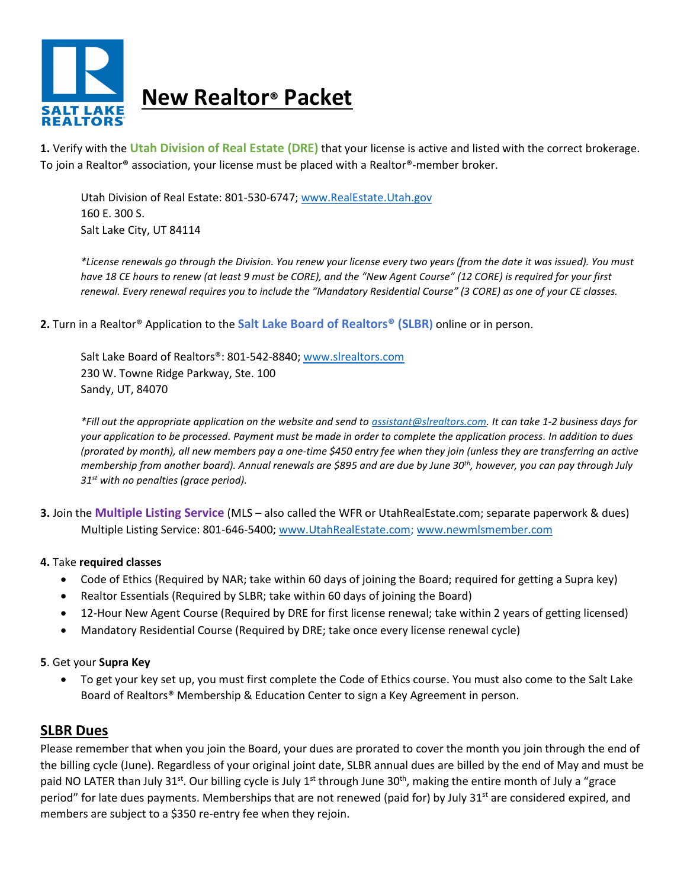

**1.** Verify with the **Utah Division of Real Estate (DRE)** that your license is active and listed with the correct brokerage. To join a Realtor® association, your license must be placed with a Realtor®-member broker.

Utah Division of Real Estate: 801-530-6747[; www.RealEstate.Utah.gov](http://www.realestate.utah.gov/) 160 E. 300 S. Salt Lake City, UT 84114

*\*License renewals go through the Division. You renew your license every two years (from the date it was issued). You must have 18 CE hours to renew (at least 9 must be CORE), and the "New Agent Course" (12 CORE) is required for your first renewal. Every renewal requires you to include the "Mandatory Residential Course" (3 CORE) as one of your CE classes.*

**2.** Turn in a Realtor® Application to the **Salt Lake Board of Realtors® (SLBR)** online or in person.

Salt Lake Board of Realtors®: 801-542-8840[; www.slrealtors.com](http://www.slrealtors.com/) 230 W. Towne Ridge Parkway, Ste. 100 Sandy, UT, 84070

*\*Fill out the appropriate application on the website and send to [assistant@slrealtors.com.](mailto:assistant@slrealtors.com) It can take 1-2 business days for your application to be processed. Payment must be made in order to complete the application process. In addition to dues (prorated by month), all new members pay a one-time \$450 entry fee when they join (unless they are transferring an active membership from another board). Annual renewals are \$895 and are due by June 30th, however, you can pay through July 31st with no penalties (grace period).*

**3.** Join the **Multiple Listing Service** (MLS – also called the WFR or UtahRealEstate.com; separate paperwork & dues) Multiple Listing Service: 801-646-5400[; www.UtahRealEstate.com;](http://www.utahrealestate.com/) www.newmlsmember.com

## **4.** Take **required classes**

- Code of Ethics (Required by NAR; take within 60 days of joining the Board; required for getting a Supra key)
- Realtor Essentials (Required by SLBR; take within 60 days of joining the Board)
- 12-Hour New Agent Course (Required by DRE for first license renewal; take within 2 years of getting licensed)
- Mandatory Residential Course (Required by DRE; take once every license renewal cycle)

## **5**. Get your **Supra Key**

• To get your key set up, you must first complete the Code of Ethics course. You must also come to the Salt Lake Board of Realtors® Membership & Education Center to sign a Key Agreement in person.

# **SLBR Dues**

Please remember that when you join the Board, your dues are prorated to cover the month you join through the end of the billing cycle (June). Regardless of your original joint date, SLBR annual dues are billed by the end of May and must be paid NO LATER than July 31<sup>st</sup>. Our billing cycle is July 1<sup>st</sup> through June 30<sup>th</sup>, making the entire month of July a "grace period" for late dues payments. Memberships that are not renewed (paid for) by July 31<sup>st</sup> are considered expired, and members are subject to a \$350 re-entry fee when they rejoin.